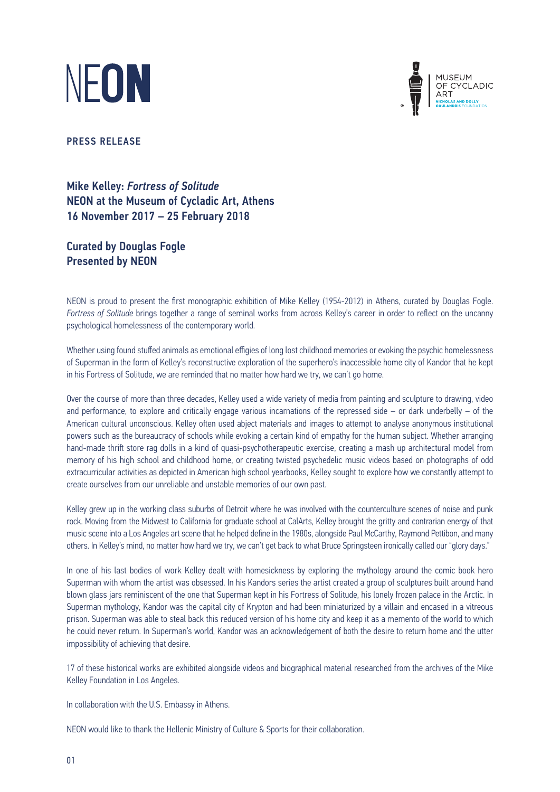



PRESS RELEASE

Mike Kelley: *Fortress of Solitude* NEON at the Museum of Cycladic Art, Athens 16 November 2017 – 25 February 2018

Curated by Douglas Fogle Presented by NEON

NEON is proud to present the first monographic exhibition of Mike Kelley (1954-2012) in Athens, curated by Douglas Fogle. *Fortress of Solitude* brings together a range of seminal works from across Kelley's career in order to reflect on the uncanny psychological homelessness of the contemporary world.

Whether using found stuffed animals as emotional effigies of long lost childhood memories or evoking the psychic homelessness of Superman in the form of Kelley's reconstructive exploration of the superhero's inaccessible home city of Kandor that he kept in his Fortress of Solitude, we are reminded that no matter how hard we try, we can't go home.

Over the course of more than three decades, Kelley used a wide variety of media from painting and sculpture to drawing, video and performance, to explore and critically engage various incarnations of the repressed side – or dark underbelly – of the American cultural unconscious. Kelley often used abject materials and images to attempt to analyse anonymous institutional powers such as the bureaucracy of schools while evoking a certain kind of empathy for the human subject. Whether arranging hand-made thrift store rag dolls in a kind of quasi-psychotherapeutic exercise, creating a mash up architectural model from memory of his high school and childhood home, or creating twisted psychedelic music videos based on photographs of odd extracurricular activities as depicted in American high school yearbooks, Kelley sought to explore how we constantly attempt to create ourselves from our unreliable and unstable memories of our own past.

Kelley grew up in the working class suburbs of Detroit where he was involved with the counterculture scenes of noise and punk rock. Moving from the Midwest to California for graduate school at CalArts, Kelley brought the gritty and contrarian energy of that music scene into a Los Angeles art scene that he helped define in the 1980s, alongside Paul McCarthy, Raymond Pettibon, and many others. In Kelley's mind, no matter how hard we try, we can't get back to what Bruce Springsteen ironically called our "glory days."

In one of his last bodies of work Kelley dealt with homesickness by exploring the mythology around the comic book hero Superman with whom the artist was obsessed. In his Kandors series the artist created a group of sculptures built around hand blown glass jars reminiscent of the one that Superman kept in his Fortress of Solitude, his lonely frozen palace in the Arctic. In Superman mythology, Kandor was the capital city of Krypton and had been miniaturized by a villain and encased in a vitreous prison. Superman was able to steal back this reduced version of his home city and keep it as a memento of the world to which he could never return. In Superman's world, Kandor was an acknowledgement of both the desire to return home and the utter impossibility of achieving that desire.

17 of these historical works are exhibited alongside videos and biographical material researched from the archives of the Mike Kelley Foundation in Los Angeles.

In collaboration with the U.S. Embassy in Athens.

NEON would like to thank the Hellenic Ministry of Culture & Sports for their collaboration.